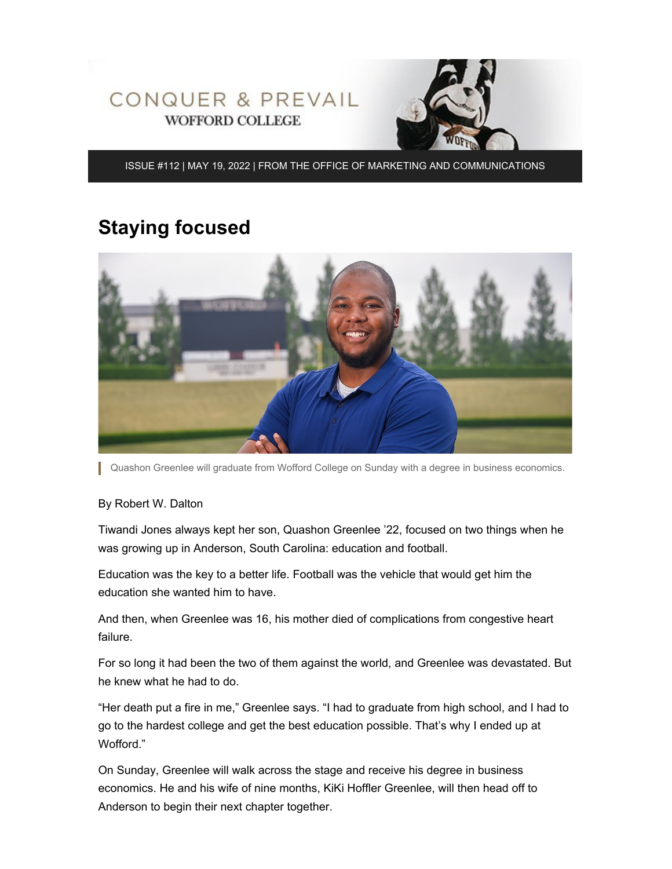

ISSUE #112 | MAY 19, 2022 | FROM THE OFFICE OF MARKETING AND COMMUNICATIONS

## **Staying focused**



Quashon Greenlee will graduate from Wofford College on Sunday with a degree in business economics.

#### By Robert W. Dalton

Tiwandi Jones always kept her son, Quashon Greenlee '22, focused on two things when he was growing up in Anderson, South Carolina: education and football.

Education was the key to a better life. Football was the vehicle that would get him the education she wanted him to have.

And then, when Greenlee was 16, his mother died of complications from congestive heart failure.

For so long it had been the two of them against the world, and Greenlee was devastated. But he knew what he had to do.

"Her death put a fire in me," Greenlee says. "I had to graduate from high school, and I had to go to the hardest college and get the best education possible. That's why I ended up at Wofford."

On Sunday, Greenlee will walk across the stage and receive his degree in business economics. He and his wife of nine months, KiKi Hoffler Greenlee, will then head off to Anderson to begin their next chapter together.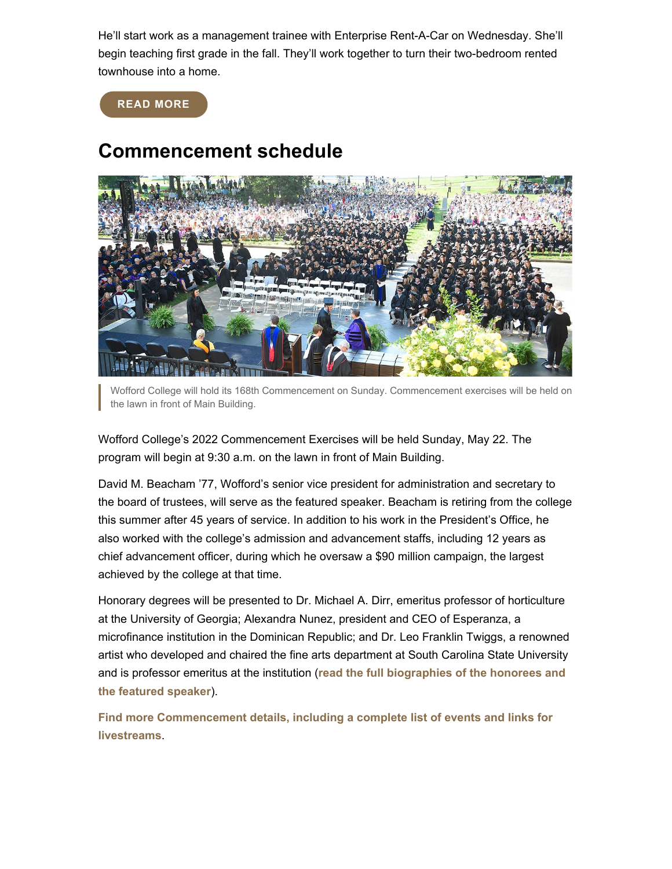He'll start work as a management trainee with Enterprise Rent-A-Car on Wednesday. She'll begin teaching first grade in the fall. They'll work together to turn their two-bedroom rented townhouse into a home.

**[READ MORE](https://www.wofford.edu/about/news/news-archives/2022/staying-focused)**

## **Commencement schedule**



Wofford College will hold its 168th Commencement on Sunday. Commencement exercises will be held on the lawn in front of Main Building.

Wofford College's 2022 Commencement Exercises will be held Sunday, May 22. The program will begin at 9:30 a.m. on the lawn in front of Main Building.

David M. Beacham '77, Wofford's senior vice president for administration and secretary to the board of trustees, will serve as the featured speaker. Beacham is retiring from the college this summer after 45 years of service. In addition to his work in the President's Office, he also worked with the college's admission and advancement staffs, including 12 years as chief advancement officer, during which he oversaw a \$90 million campaign, the largest achieved by the college at that time.

Honorary degrees will be presented to Dr. Michael A. Dirr, emeritus professor of horticulture at the University of Georgia; Alexandra Nunez, president and CEO of Esperanza, a microfinance institution in the Dominican Republic; and Dr. Leo Franklin Twiggs, a renowned artist who developed and chaired the fine arts department at South Carolina State University and is professor emeritus at the institution (**[read the full biographies of the honorees and](https://www.wofford.edu/about/news/news-archives/2022/commencement-schedule/featured-speaker) [the featured speaker](https://www.wofford.edu/about/news/news-archives/2022/commencement-schedule/featured-speaker)**).

**[Find more Commencement details, including a complete list of events and links for](https://www.wofford.edu/about/news/news-archives/2022/commencement-schedule) [livestreams](https://www.wofford.edu/about/news/news-archives/2022/commencement-schedule)**.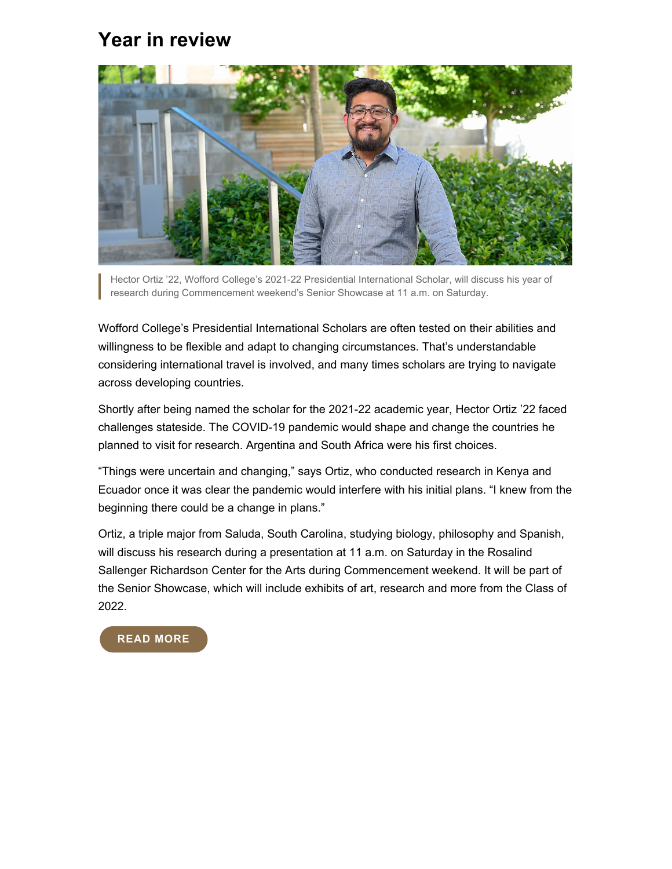### **Year in review**



Hector Ortiz '22, Wofford College's 2021-22 Presidential International Scholar, will discuss his year of research during Commencement weekend's Senior Showcase at 11 a.m. on Saturday.

Wofford College's Presidential International Scholars are often tested on their abilities and willingness to be flexible and adapt to changing circumstances. That's understandable considering international travel is involved, and many times scholars are trying to navigate across developing countries.

Shortly after being named the scholar for the 2021-22 academic year, Hector Ortiz '22 faced challenges stateside. The COVID-19 pandemic would shape and change the countries he planned to visit for research. Argentina and South Africa were his first choices.

"Things were uncertain and changing," says Ortiz, who conducted research in Kenya and Ecuador once it was clear the pandemic would interfere with his initial plans. "I knew from the beginning there could be a change in plans."

Ortiz, a triple major from Saluda, South Carolina, studying biology, philosophy and Spanish, will discuss his research during a presentation at 11 a.m. on Saturday in the Rosalind Sallenger Richardson Center for the Arts during Commencement weekend. It will be part of the Senior Showcase, which will include exhibits of art, research and more from the Class of 2022.

### **[READ MORE](https://www.wofford.edu/about/news/news-archives/2022/year-in-review)**